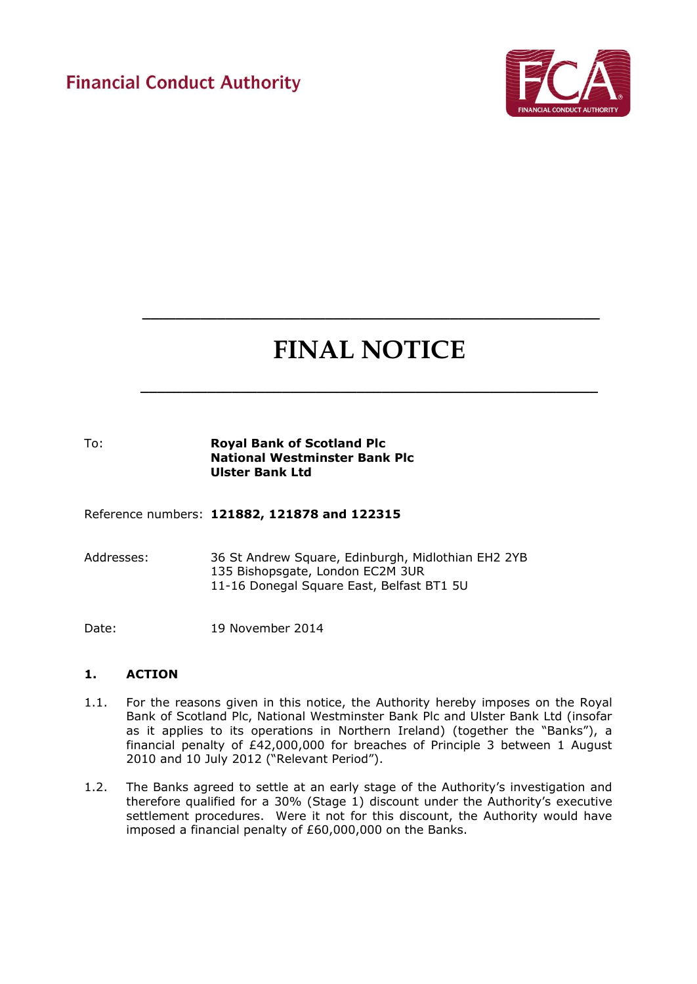# **Financial Conduct Authority**



# **FINAL NOTICE**

**\_\_\_\_\_\_\_\_\_\_\_\_\_\_\_\_\_\_\_\_\_\_\_\_\_\_\_\_\_\_\_\_\_\_\_\_\_\_\_\_\_\_\_\_\_\_\_\_\_\_\_\_\_\_\_**

 **\_\_\_\_\_\_\_\_\_\_\_\_\_\_\_\_\_\_\_\_\_\_\_\_\_\_\_\_\_\_\_\_\_\_\_\_\_\_\_\_\_\_\_\_\_\_\_\_\_\_\_\_\_\_\_**

# To: **Royal Bank of Scotland Plc National Westminster Bank Plc Ulster Bank Ltd**

Reference numbers: **121882, 121878 and 122315**

Addresses: 36 St Andrew Square, Edinburgh, Midlothian EH2 2YB 135 Bishopsgate, London EC2M 3UR 11-16 Donegal Square East, Belfast BT1 5U

Date: 19 November 2014

#### **1. ACTION**

- 1.1. For the reasons given in this notice, the Authority hereby imposes on the Royal Bank of Scotland Plc, National Westminster Bank Plc and Ulster Bank Ltd (insofar as it applies to its operations in Northern Ireland) (together the "Banks"), a financial penalty of £42,000,000 for breaches of Principle 3 between 1 August 2010 and 10 July 2012 ("Relevant Period").
- 1.2. The Banks agreed to settle at an early stage of the Authority's investigation and therefore qualified for a 30% (Stage 1) discount under the Authority's executive settlement procedures. Were it not for this discount, the Authority would have imposed a financial penalty of £60,000,000 on the Banks.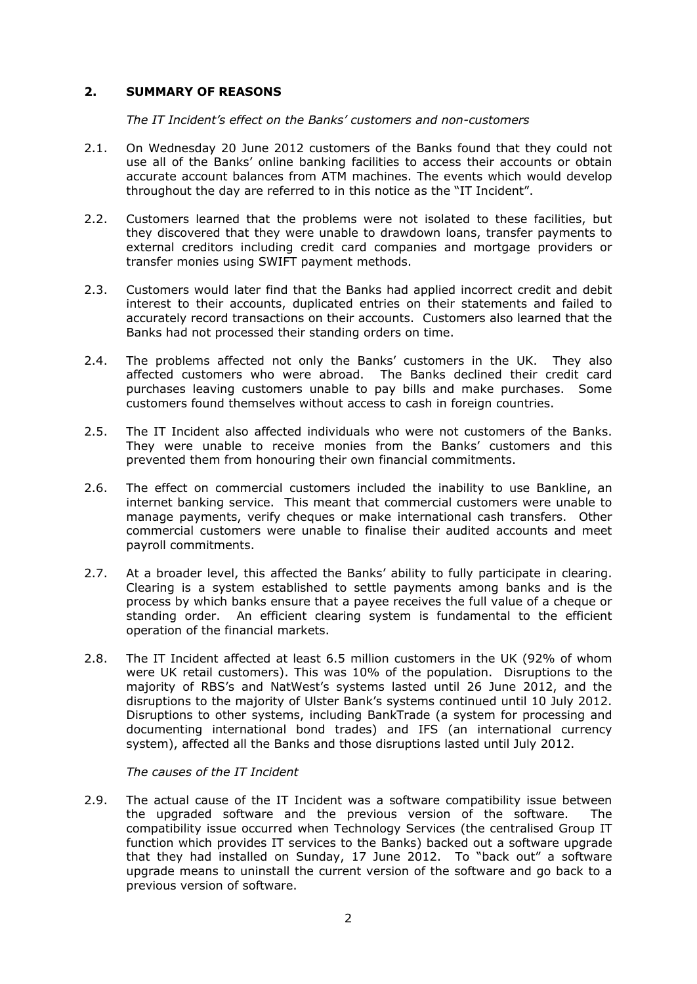# **2. SUMMARY OF REASONS**

*The IT Incident's effect on the Banks' customers and non-customers* 

- 2.1. On Wednesday 20 June 2012 customers of the Banks found that they could not use all of the Banks' online banking facilities to access their accounts or obtain accurate account balances from ATM machines. The events which would develop throughout the day are referred to in this notice as the "IT Incident".
- 2.2. Customers learned that the problems were not isolated to these facilities, but they discovered that they were unable to drawdown loans, transfer payments to external creditors including credit card companies and mortgage providers or transfer monies using SWIFT payment methods.
- 2.3. Customers would later find that the Banks had applied incorrect credit and debit interest to their accounts, duplicated entries on their statements and failed to accurately record transactions on their accounts. Customers also learned that the Banks had not processed their standing orders on time.
- 2.4. The problems affected not only the Banks' customers in the UK. They also affected customers who were abroad. The Banks declined their credit card purchases leaving customers unable to pay bills and make purchases. Some customers found themselves without access to cash in foreign countries.
- 2.5. The IT Incident also affected individuals who were not customers of the Banks. They were unable to receive monies from the Banks' customers and this prevented them from honouring their own financial commitments.
- 2.6. The effect on commercial customers included the inability to use Bankline, an internet banking service. This meant that commercial customers were unable to manage payments, verify cheques or make international cash transfers. Other commercial customers were unable to finalise their audited accounts and meet payroll commitments.
- 2.7. At a broader level, this affected the Banks' ability to fully participate in clearing. Clearing is a system established to settle payments among banks and is the process by which banks ensure that a payee receives the full value of a cheque or standing order. An efficient clearing system is fundamental to the efficient operation of the financial markets.
- 2.8. The IT Incident affected at least 6.5 million customers in the UK (92% of whom were UK retail customers). This was 10% of the population. Disruptions to the majority of RBS's and NatWest's systems lasted until 26 June 2012, and the disruptions to the majority of Ulster Bank's systems continued until 10 July 2012. Disruptions to other systems, including BankTrade (a system for processing and documenting international bond trades) and IFS (an international currency system), affected all the Banks and those disruptions lasted until July 2012.

*The causes of the IT Incident*

2.9. The actual cause of the IT Incident was a software compatibility issue between the upgraded software and the previous version of the software. The compatibility issue occurred when Technology Services (the centralised Group IT function which provides IT services to the Banks) backed out a software upgrade that they had installed on Sunday, 17 June 2012. To "back out" a software upgrade means to uninstall the current version of the software and go back to a previous version of software.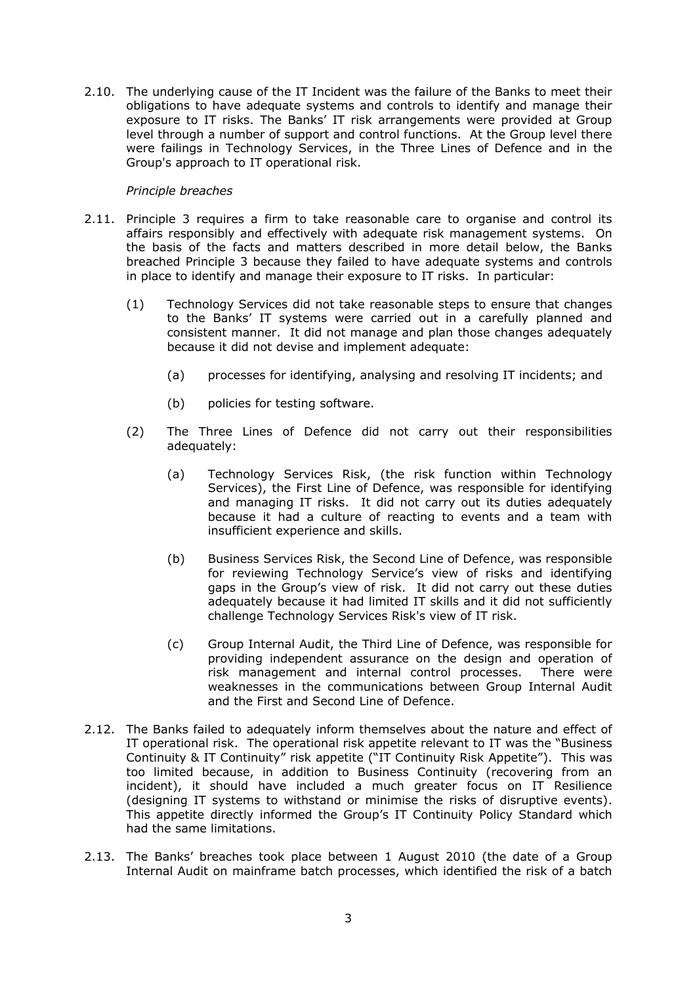2.10. The underlying cause of the IT Incident was the failure of the Banks to meet their obligations to have adequate systems and controls to identify and manage their exposure to IT risks. The Banks' IT risk arrangements were provided at Group level through a number of support and control functions. At the Group level there were failings in Technology Services, in the Three Lines of Defence and in the Group's approach to IT operational risk.

#### *Principle breaches*

- 2.11. Principle 3 requires a firm to take reasonable care to organise and control its affairs responsibly and effectively with adequate risk management systems. On the basis of the facts and matters described in more detail below, the Banks breached Principle 3 because they failed to have adequate systems and controls in place to identify and manage their exposure to IT risks. In particular:
	- (1) Technology Services did not take reasonable steps to ensure that changes to the Banks' IT systems were carried out in a carefully planned and consistent manner. It did not manage and plan those changes adequately because it did not devise and implement adequate:
		- (a) processes for identifying, analysing and resolving IT incidents; and
		- (b) policies for testing software.
	- (2) The Three Lines of Defence did not carry out their responsibilities adequately:
		- (a) Technology Services Risk, (the risk function within Technology Services), the First Line of Defence, was responsible for identifying and managing IT risks. It did not carry out its duties adequately because it had a culture of reacting to events and a team with insufficient experience and skills.
		- (b) Business Services Risk, the Second Line of Defence, was responsible for reviewing Technology Service's view of risks and identifying gaps in the Group's view of risk. It did not carry out these duties adequately because it had limited IT skills and it did not sufficiently challenge Technology Services Risk's view of IT risk.
		- (c) Group Internal Audit, the Third Line of Defence, was responsible for providing independent assurance on the design and operation of risk management and internal control processes. There were weaknesses in the communications between Group Internal Audit and the First and Second Line of Defence.
- 2.12. The Banks failed to adequately inform themselves about the nature and effect of IT operational risk. The operational risk appetite relevant to IT was the "Business Continuity & IT Continuity" risk appetite ("IT Continuity Risk Appetite"). This was too limited because, in addition to Business Continuity (recovering from an incident), it should have included a much greater focus on IT Resilience (designing IT systems to withstand or minimise the risks of disruptive events). This appetite directly informed the Group's IT Continuity Policy Standard which had the same limitations.
- 2.13. The Banks' breaches took place between 1 August 2010 (the date of a Group Internal Audit on mainframe batch processes, which identified the risk of a batch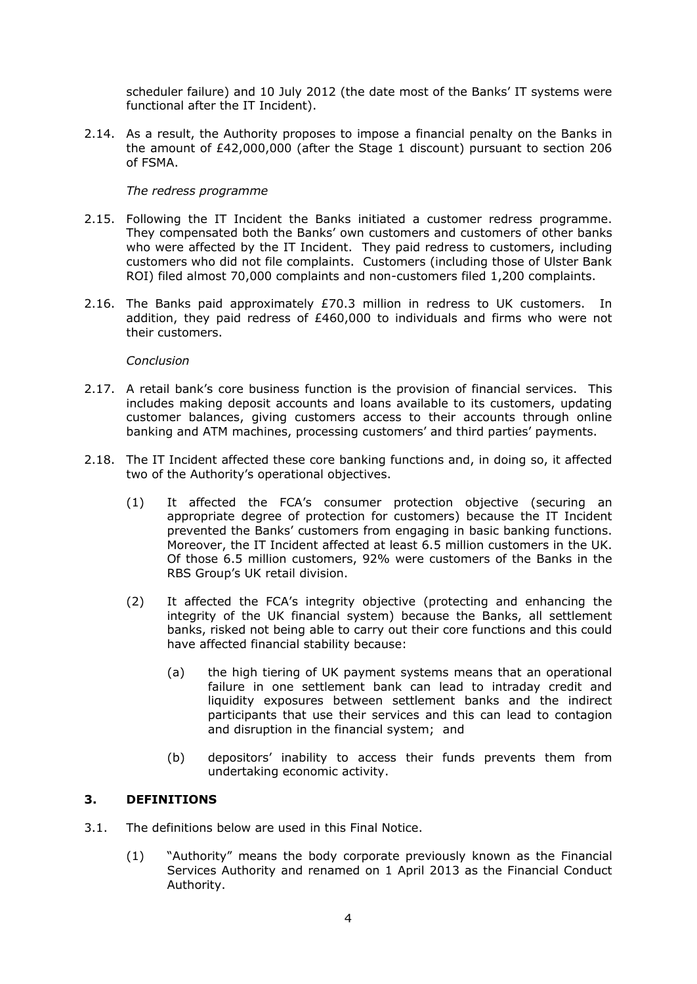scheduler failure) and 10 July 2012 (the date most of the Banks' IT systems were functional after the IT Incident).

2.14. As a result, the Authority proposes to impose a financial penalty on the Banks in the amount of £42,000,000 (after the Stage 1 discount) pursuant to section 206 of FSMA.

# *The redress programme*

- 2.15. Following the IT Incident the Banks initiated a customer redress programme. They compensated both the Banks' own customers and customers of other banks who were affected by the IT Incident. They paid redress to customers, including customers who did not file complaints. Customers (including those of Ulster Bank ROI) filed almost 70,000 complaints and non-customers filed 1,200 complaints.
- 2.16. The Banks paid approximately £70.3 million in redress to UK customers. In addition, they paid redress of £460,000 to individuals and firms who were not their customers.

# *Conclusion*

- 2.17. A retail bank's core business function is the provision of financial services. This includes making deposit accounts and loans available to its customers, updating customer balances, giving customers access to their accounts through online banking and ATM machines, processing customers' and third parties' payments.
- 2.18. The IT Incident affected these core banking functions and, in doing so, it affected two of the Authority's operational objectives.
	- (1) It affected the FCA's consumer protection objective (securing an appropriate degree of protection for customers) because the IT Incident prevented the Banks' customers from engaging in basic banking functions. Moreover, the IT Incident affected at least 6.5 million customers in the UK. Of those 6.5 million customers, 92% were customers of the Banks in the RBS Group's UK retail division.
	- (2) It affected the FCA's integrity objective (protecting and enhancing the integrity of the UK financial system) because the Banks, all settlement banks, risked not being able to carry out their core functions and this could have affected financial stability because:
		- (a) the high tiering of UK payment systems means that an operational failure in one settlement bank can lead to intraday credit and liquidity exposures between settlement banks and the indirect participants that use their services and this can lead to contagion and disruption in the financial system; and
		- (b) depositors' inability to access their funds prevents them from undertaking economic activity.

# **3. DEFINITIONS**

- 3.1. The definitions below are used in this Final Notice.
	- (1) "Authority" means the body corporate previously known as the Financial Services Authority and renamed on 1 April 2013 as the Financial Conduct Authority.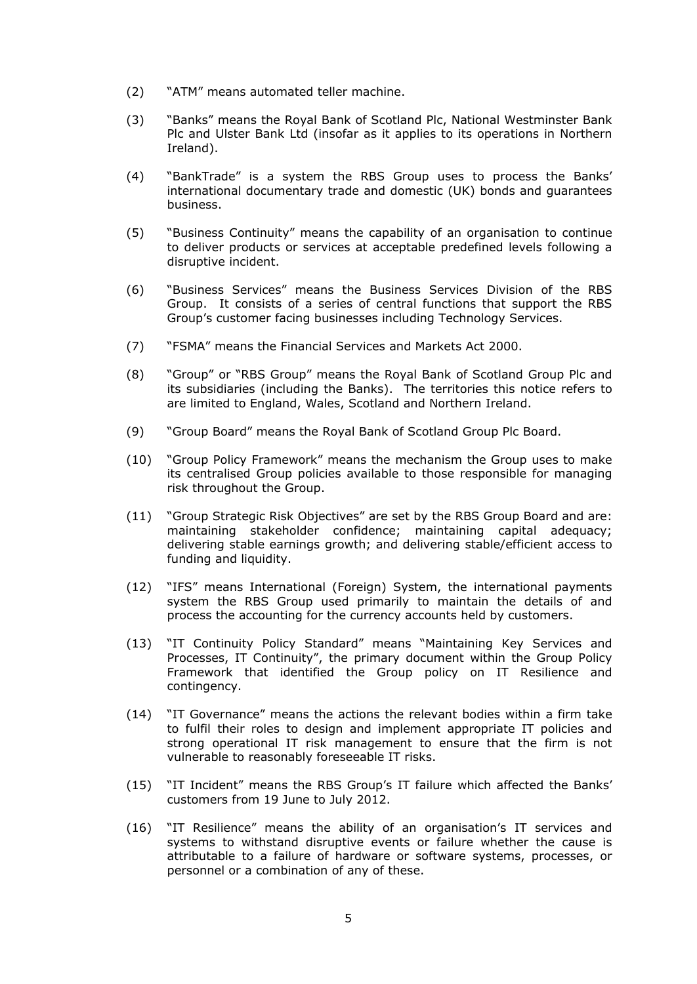- (2) "ATM" means automated teller machine.
- (3) "Banks" means the Royal Bank of Scotland Plc, National Westminster Bank Plc and Ulster Bank Ltd (insofar as it applies to its operations in Northern Ireland).
- (4) "BankTrade" is a system the RBS Group uses to process the Banks' international documentary trade and domestic (UK) bonds and guarantees business.
- (5) "Business Continuity" means the capability of an organisation to continue to deliver products or services at acceptable predefined levels following a disruptive incident.
- (6) "Business Services" means the Business Services Division of the RBS Group. It consists of a series of central functions that support the RBS Group's customer facing businesses including Technology Services.
- (7) "FSMA" means the Financial Services and Markets Act 2000.
- (8) "Group" or "RBS Group" means the Royal Bank of Scotland Group Plc and its subsidiaries (including the Banks). The territories this notice refers to are limited to England, Wales, Scotland and Northern Ireland.
- (9) "Group Board" means the Royal Bank of Scotland Group Plc Board.
- (10) "Group Policy Framework" means the mechanism the Group uses to make its centralised Group policies available to those responsible for managing risk throughout the Group.
- (11) "Group Strategic Risk Objectives" are set by the RBS Group Board and are: maintaining stakeholder confidence; maintaining capital adequacy; delivering stable earnings growth; and delivering stable/efficient access to funding and liquidity.
- (12) "IFS" means International (Foreign) System, the international payments system the RBS Group used primarily to maintain the details of and process the accounting for the currency accounts held by customers.
- (13) "IT Continuity Policy Standard" means "Maintaining Key Services and Processes, IT Continuity", the primary document within the Group Policy Framework that identified the Group policy on IT Resilience and contingency.
- (14) "IT Governance" means the actions the relevant bodies within a firm take to fulfil their roles to design and implement appropriate IT policies and strong operational IT risk management to ensure that the firm is not vulnerable to reasonably foreseeable IT risks.
- (15) "IT Incident" means the RBS Group's IT failure which affected the Banks' customers from 19 June to July 2012.
- (16) "IT Resilience" means the ability of an organisation's IT services and systems to withstand disruptive events or failure whether the cause is attributable to a failure of hardware or software systems, processes, or personnel or a combination of any of these.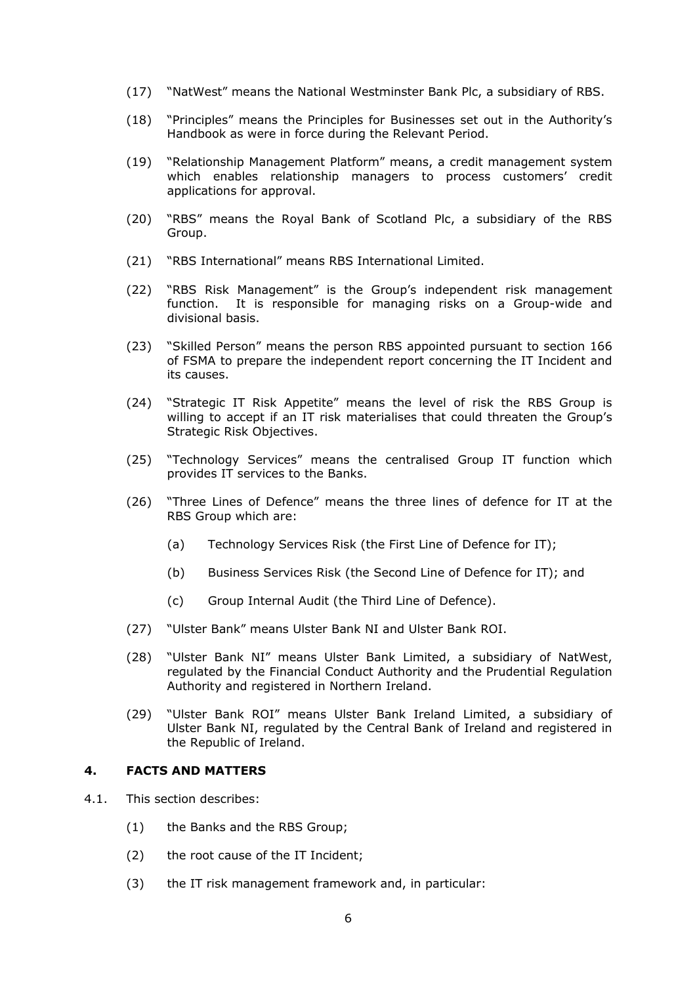- (17) "NatWest" means the National Westminster Bank Plc, a subsidiary of RBS.
- (18) "Principles" means the Principles for Businesses set out in the Authority's Handbook as were in force during the Relevant Period.
- (19) "Relationship Management Platform" means, a credit management system which enables relationship managers to process customers' credit applications for approval.
- (20) "RBS" means the Royal Bank of Scotland Plc, a subsidiary of the RBS Group.
- (21) "RBS International" means RBS International Limited.
- (22) "RBS Risk Management" is the Group's independent risk management function. It is responsible for managing risks on a Group-wide and divisional basis.
- (23) "Skilled Person" means the person RBS appointed pursuant to section 166 of FSMA to prepare the independent report concerning the IT Incident and its causes.
- (24) "Strategic IT Risk Appetite" means the level of risk the RBS Group is willing to accept if an IT risk materialises that could threaten the Group's Strategic Risk Objectives.
- (25) "Technology Services" means the centralised Group IT function which provides IT services to the Banks.
- (26) "Three Lines of Defence" means the three lines of defence for IT at the RBS Group which are:
	- (a) Technology Services Risk (the First Line of Defence for IT);
	- (b) Business Services Risk (the Second Line of Defence for IT); and
	- (c) Group Internal Audit (the Third Line of Defence).
- (27) "Ulster Bank" means Ulster Bank NI and Ulster Bank ROI.
- (28) "Ulster Bank NI" means Ulster Bank Limited, a subsidiary of NatWest, regulated by the Financial Conduct Authority and the Prudential Regulation Authority and registered in Northern Ireland.
- (29) "Ulster Bank ROI" means Ulster Bank Ireland Limited, a subsidiary of Ulster Bank NI, regulated by the Central Bank of Ireland and registered in the Republic of Ireland.

#### **4. FACTS AND MATTERS**

- 4.1. This section describes:
	- (1) the Banks and the RBS Group;
	- (2) the root cause of the IT Incident;
	- (3) the IT risk management framework and, in particular: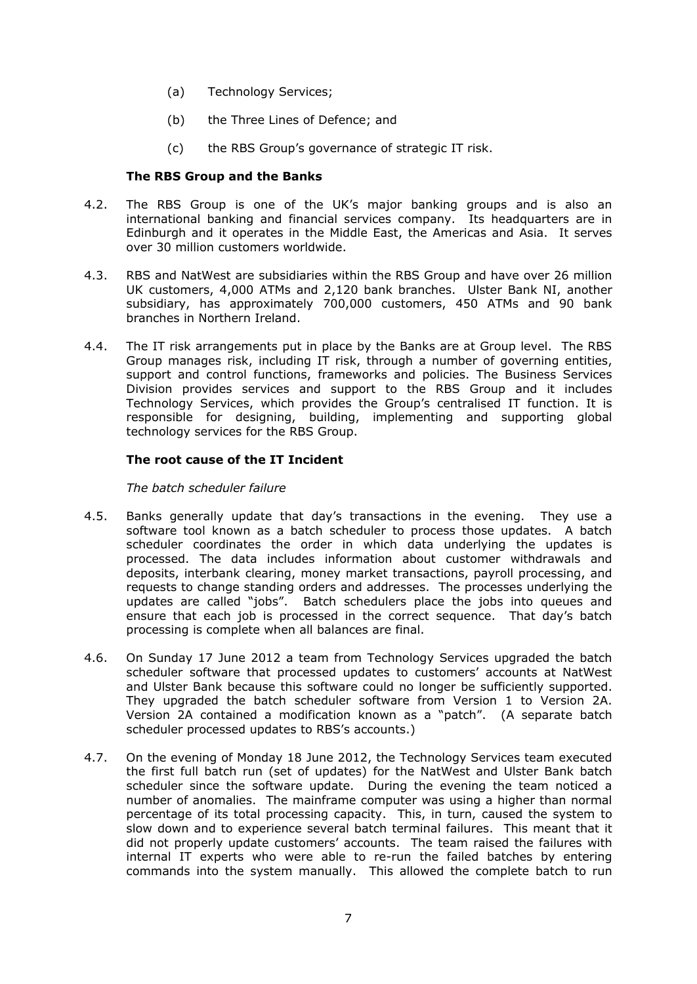- (a) Technology Services;
- (b) the Three Lines of Defence; and
- (c) the RBS Group's governance of strategic IT risk.

# **The RBS Group and the Banks**

- 4.2. The RBS Group is one of the UK's major banking groups and is also an international banking and financial services company. Its headquarters are in Edinburgh and it operates in the Middle East, the Americas and Asia. It serves over 30 million customers worldwide.
- 4.3. RBS and NatWest are subsidiaries within the RBS Group and have over 26 million UK customers, 4,000 ATMs and 2,120 bank branches. Ulster Bank NI, another subsidiary, has approximately 700,000 customers, 450 ATMs and 90 bank branches in Northern Ireland.
- 4.4. The IT risk arrangements put in place by the Banks are at Group level. The RBS Group manages risk, including IT risk, through a number of governing entities, support and control functions, frameworks and policies. The Business Services Division provides services and support to the RBS Group and it includes Technology Services, which provides the Group's centralised IT function. It is responsible for designing, building, implementing and supporting global technology services for the RBS Group.

# **The root cause of the IT Incident**

# *The batch scheduler failure*

- 4.5. Banks generally update that day's transactions in the evening. They use a software tool known as a batch scheduler to process those updates. A batch scheduler coordinates the order in which data underlying the updates is processed. The data includes information about customer withdrawals and deposits, interbank clearing, money market transactions, payroll processing, and requests to change standing orders and addresses. The processes underlying the updates are called "jobs". Batch schedulers place the jobs into queues and ensure that each job is processed in the correct sequence. That day's batch processing is complete when all balances are final.
- 4.6. On Sunday 17 June 2012 a team from Technology Services upgraded the batch scheduler software that processed updates to customers' accounts at NatWest and Ulster Bank because this software could no longer be sufficiently supported. They upgraded the batch scheduler software from Version 1 to Version 2A. Version 2A contained a modification known as a "patch". (A separate batch scheduler processed updates to RBS's accounts.)
- 4.7. On the evening of Monday 18 June 2012, the Technology Services team executed the first full batch run (set of updates) for the NatWest and Ulster Bank batch scheduler since the software update. During the evening the team noticed a number of anomalies. The mainframe computer was using a higher than normal percentage of its total processing capacity. This, in turn, caused the system to slow down and to experience several batch terminal failures. This meant that it did not properly update customers' accounts. The team raised the failures with internal IT experts who were able to re-run the failed batches by entering commands into the system manually. This allowed the complete batch to run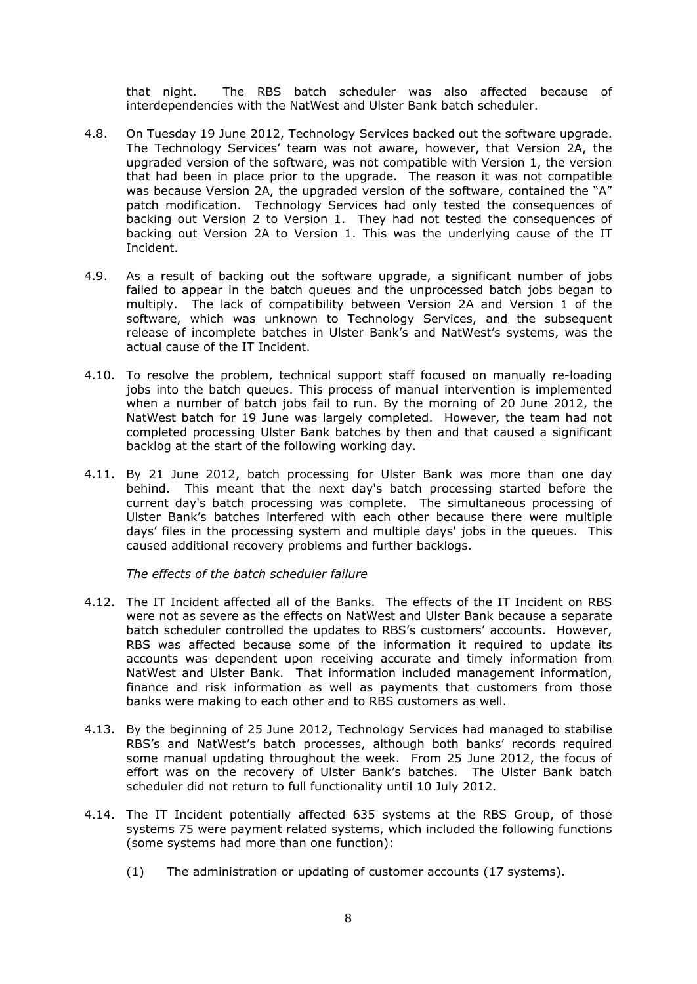that night. The RBS batch scheduler was also affected because of interdependencies with the NatWest and Ulster Bank batch scheduler.

- 4.8. On Tuesday 19 June 2012, Technology Services backed out the software upgrade. The Technology Services' team was not aware, however, that Version 2A, the upgraded version of the software, was not compatible with Version 1, the version that had been in place prior to the upgrade. The reason it was not compatible was because Version 2A, the upgraded version of the software, contained the "A" patch modification. Technology Services had only tested the consequences of backing out Version 2 to Version 1. They had not tested the consequences of backing out Version 2A to Version 1. This was the underlying cause of the IT Incident.
- 4.9. As a result of backing out the software upgrade, a significant number of jobs failed to appear in the batch queues and the unprocessed batch jobs began to multiply. The lack of compatibility between Version 2A and Version 1 of the software, which was unknown to Technology Services, and the subsequent release of incomplete batches in Ulster Bank's and NatWest's systems, was the actual cause of the IT Incident.
- 4.10. To resolve the problem, technical support staff focused on manually re-loading jobs into the batch queues. This process of manual intervention is implemented when a number of batch jobs fail to run. By the morning of 20 June 2012, the NatWest batch for 19 June was largely completed. However, the team had not completed processing Ulster Bank batches by then and that caused a significant backlog at the start of the following working day.
- 4.11. By 21 June 2012, batch processing for Ulster Bank was more than one day behind. This meant that the next day's batch processing started before the current day's batch processing was complete. The simultaneous processing of Ulster Bank's batches interfered with each other because there were multiple days' files in the processing system and multiple days' jobs in the queues. This caused additional recovery problems and further backlogs.

*The effects of the batch scheduler failure*

- 4.12. The IT Incident affected all of the Banks. The effects of the IT Incident on RBS were not as severe as the effects on NatWest and Ulster Bank because a separate batch scheduler controlled the updates to RBS's customers' accounts. However, RBS was affected because some of the information it required to update its accounts was dependent upon receiving accurate and timely information from NatWest and Ulster Bank. That information included management information, finance and risk information as well as payments that customers from those banks were making to each other and to RBS customers as well.
- 4.13. By the beginning of 25 June 2012, Technology Services had managed to stabilise RBS's and NatWest's batch processes, although both banks' records required some manual updating throughout the week. From 25 June 2012, the focus of effort was on the recovery of Ulster Bank's batches. The Ulster Bank batch scheduler did not return to full functionality until 10 July 2012.
- 4.14. The IT Incident potentially affected 635 systems at the RBS Group, of those systems 75 were payment related systems, which included the following functions (some systems had more than one function):
	- (1) The administration or updating of customer accounts (17 systems).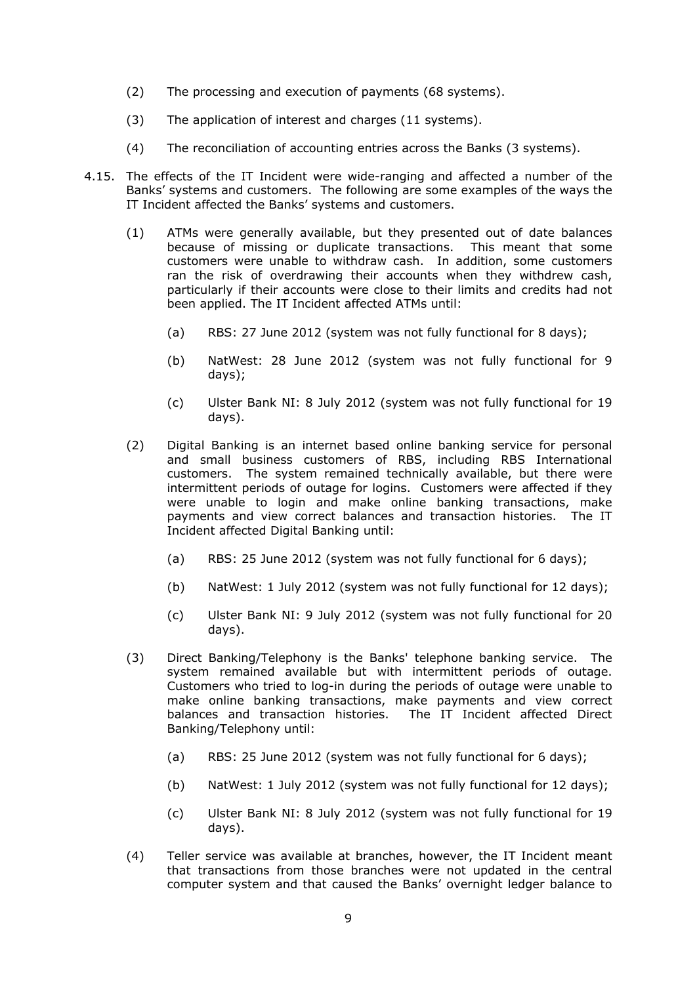- (2) The processing and execution of payments (68 systems).
- (3) The application of interest and charges (11 systems).
- (4) The reconciliation of accounting entries across the Banks (3 systems).
- 4.15. The effects of the IT Incident were wide-ranging and affected a number of the Banks' systems and customers. The following are some examples of the ways the IT Incident affected the Banks' systems and customers.
	- (1) ATMs were generally available, but they presented out of date balances because of missing or duplicate transactions. This meant that some customers were unable to withdraw cash. In addition, some customers ran the risk of overdrawing their accounts when they withdrew cash, particularly if their accounts were close to their limits and credits had not been applied. The IT Incident affected ATMs until:
		- (a) RBS: 27 June 2012 (system was not fully functional for 8 days);
		- (b) NatWest: 28 June 2012 (system was not fully functional for 9 days);
		- (c) Ulster Bank NI: 8 July 2012 (system was not fully functional for 19 days).
	- (2) Digital Banking is an internet based online banking service for personal and small business customers of RBS, including RBS International customers. The system remained technically available, but there were intermittent periods of outage for logins. Customers were affected if they were unable to login and make online banking transactions, make payments and view correct balances and transaction histories. The IT Incident affected Digital Banking until:
		- (a) RBS: 25 June 2012 (system was not fully functional for 6 days);
		- (b) NatWest: 1 July 2012 (system was not fully functional for 12 days);
		- (c) Ulster Bank NI: 9 July 2012 (system was not fully functional for 20 days).
	- (3) Direct Banking/Telephony is the Banks' telephone banking service. The system remained available but with intermittent periods of outage. Customers who tried to log-in during the periods of outage were unable to make online banking transactions, make payments and view correct balances and transaction histories. The IT Incident affected Direct Banking/Telephony until:
		- (a) RBS: 25 June 2012 (system was not fully functional for 6 days);
		- (b) NatWest: 1 July 2012 (system was not fully functional for 12 days);
		- (c) Ulster Bank NI: 8 July 2012 (system was not fully functional for 19 days).
	- (4) Teller service was available at branches, however, the IT Incident meant that transactions from those branches were not updated in the central computer system and that caused the Banks' overnight ledger balance to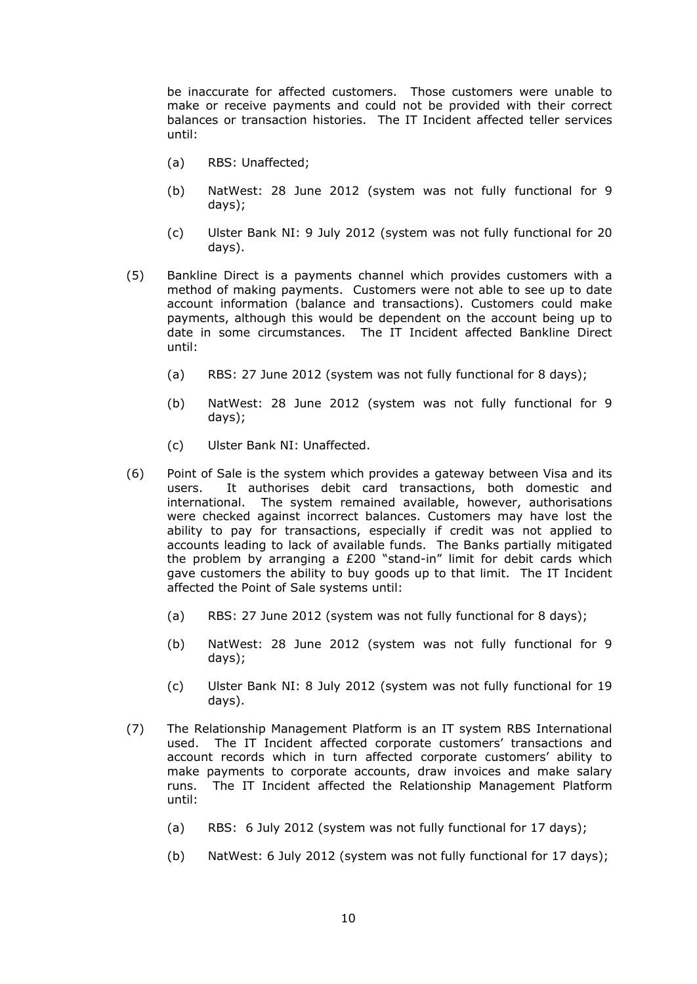be inaccurate for affected customers. Those customers were unable to make or receive payments and could not be provided with their correct balances or transaction histories. The IT Incident affected teller services until:

- (a) RBS: Unaffected;
- (b) NatWest: 28 June 2012 (system was not fully functional for 9 days);
- (c) Ulster Bank NI: 9 July 2012 (system was not fully functional for 20 days).
- (5) Bankline Direct is a payments channel which provides customers with a method of making payments. Customers were not able to see up to date account information (balance and transactions). Customers could make payments, although this would be dependent on the account being up to date in some circumstances. The IT Incident affected Bankline Direct until:
	- (a) RBS: 27 June 2012 (system was not fully functional for 8 days);
	- (b) NatWest: 28 June 2012 (system was not fully functional for 9 days);
	- (c) Ulster Bank NI: Unaffected.
- (6) Point of Sale is the system which provides a gateway between Visa and its users. It authorises debit card transactions, both domestic and international. The system remained available, however, authorisations were checked against incorrect balances. Customers may have lost the ability to pay for transactions, especially if credit was not applied to accounts leading to lack of available funds. The Banks partially mitigated the problem by arranging a £200 "stand-in" limit for debit cards which gave customers the ability to buy goods up to that limit. The IT Incident affected the Point of Sale systems until:
	- (a) RBS: 27 June 2012 (system was not fully functional for 8 days);
	- (b) NatWest: 28 June 2012 (system was not fully functional for 9 days);
	- (c) Ulster Bank NI: 8 July 2012 (system was not fully functional for 19 days).
- (7) The Relationship Management Platform is an IT system RBS International used. The IT Incident affected corporate customers' transactions and account records which in turn affected corporate customers' ability to make payments to corporate accounts, draw invoices and make salary runs. The IT Incident affected the Relationship Management Platform until:
	- (a) RBS: 6 July 2012 (system was not fully functional for 17 days);
	- (b) NatWest: 6 July 2012 (system was not fully functional for 17 days);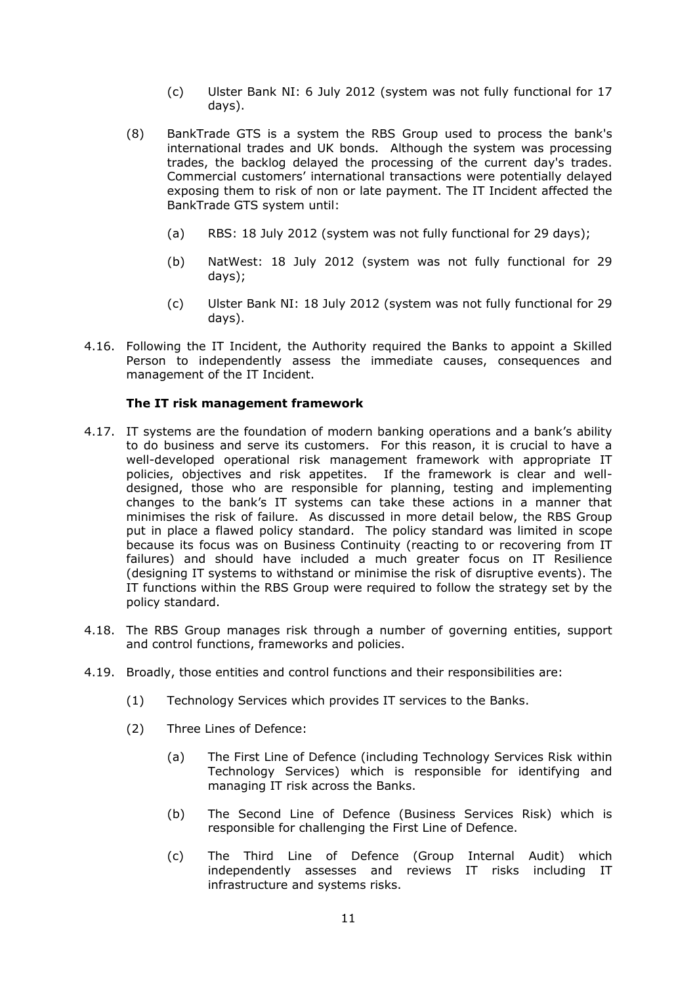- (c) Ulster Bank NI: 6 July 2012 (system was not fully functional for 17 days).
- (8) BankTrade GTS is a system the RBS Group used to process the bank's international trades and UK bonds. Although the system was processing trades, the backlog delayed the processing of the current day's trades. Commercial customers' international transactions were potentially delayed exposing them to risk of non or late payment. The IT Incident affected the BankTrade GTS system until:
	- (a) RBS: 18 July 2012 (system was not fully functional for 29 days);
	- (b) NatWest: 18 July 2012 (system was not fully functional for 29 days);
	- (c) Ulster Bank NI: 18 July 2012 (system was not fully functional for 29 days).
- 4.16. Following the IT Incident, the Authority required the Banks to appoint a Skilled Person to independently assess the immediate causes, consequences and management of the IT Incident.

# **The IT risk management framework**

- 4.17. IT systems are the foundation of modern banking operations and a bank's ability to do business and serve its customers. For this reason, it is crucial to have a well-developed operational risk management framework with appropriate IT policies, objectives and risk appetites. If the framework is clear and welldesigned, those who are responsible for planning, testing and implementing changes to the bank's IT systems can take these actions in a manner that minimises the risk of failure. As discussed in more detail below, the RBS Group put in place a flawed policy standard. The policy standard was limited in scope because its focus was on Business Continuity (reacting to or recovering from IT failures) and should have included a much greater focus on IT Resilience (designing IT systems to withstand or minimise the risk of disruptive events). The IT functions within the RBS Group were required to follow the strategy set by the policy standard.
- 4.18. The RBS Group manages risk through a number of governing entities, support and control functions, frameworks and policies.
- 4.19. Broadly, those entities and control functions and their responsibilities are:
	- (1) Technology Services which provides IT services to the Banks.
	- (2) Three Lines of Defence:
		- (a) The First Line of Defence (including Technology Services Risk within Technology Services) which is responsible for identifying and managing IT risk across the Banks.
		- (b) The Second Line of Defence (Business Services Risk) which is responsible for challenging the First Line of Defence.
		- (c) The Third Line of Defence (Group Internal Audit) which independently assesses and reviews IT risks including IT infrastructure and systems risks.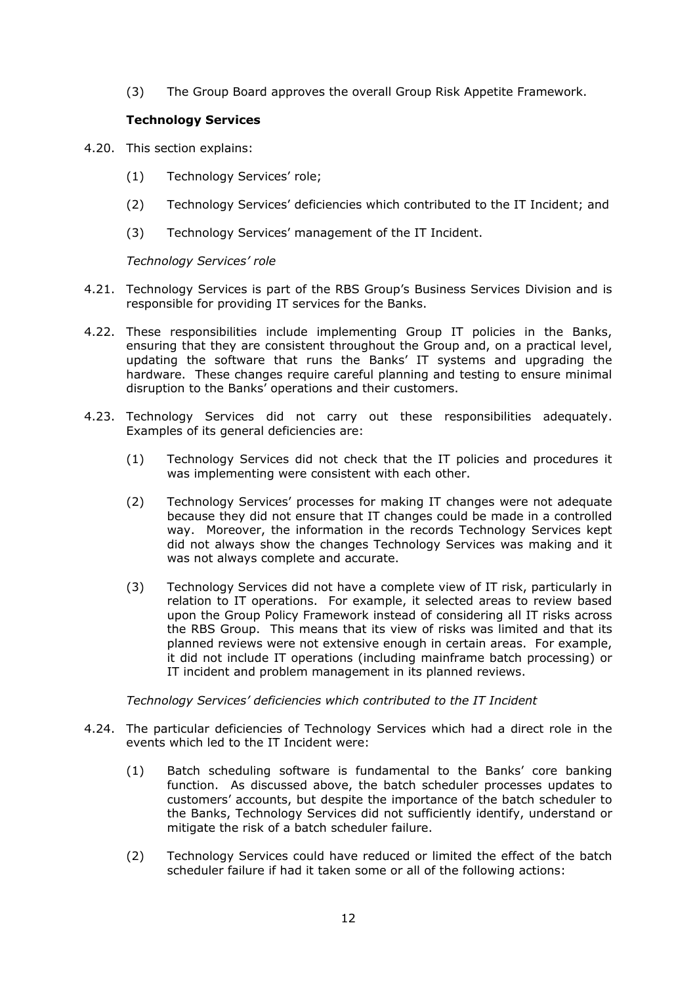(3) The Group Board approves the overall Group Risk Appetite Framework.

# **Technology Services**

- 4.20. This section explains:
	- (1) Technology Services' role;
	- (2) Technology Services' deficiencies which contributed to the IT Incident; and
	- (3) Technology Services' management of the IT Incident.

*Technology Services' role* 

- 4.21. Technology Services is part of the RBS Group's Business Services Division and is responsible for providing IT services for the Banks.
- 4.22. These responsibilities include implementing Group IT policies in the Banks, ensuring that they are consistent throughout the Group and, on a practical level, updating the software that runs the Banks' IT systems and upgrading the hardware. These changes require careful planning and testing to ensure minimal disruption to the Banks' operations and their customers.
- 4.23. Technology Services did not carry out these responsibilities adequately. Examples of its general deficiencies are:
	- (1) Technology Services did not check that the IT policies and procedures it was implementing were consistent with each other.
	- (2) Technology Services' processes for making IT changes were not adequate because they did not ensure that IT changes could be made in a controlled way. Moreover, the information in the records Technology Services kept did not always show the changes Technology Services was making and it was not always complete and accurate.
	- (3) Technology Services did not have a complete view of IT risk, particularly in relation to IT operations. For example, it selected areas to review based upon the Group Policy Framework instead of considering all IT risks across the RBS Group. This means that its view of risks was limited and that its planned reviews were not extensive enough in certain areas. For example, it did not include IT operations (including mainframe batch processing) or IT incident and problem management in its planned reviews.

*Technology Services' deficiencies which contributed to the IT Incident*

- 4.24. The particular deficiencies of Technology Services which had a direct role in the events which led to the IT Incident were:
	- (1) Batch scheduling software is fundamental to the Banks' core banking function. As discussed above, the batch scheduler processes updates to customers' accounts, but despite the importance of the batch scheduler to the Banks, Technology Services did not sufficiently identify, understand or mitigate the risk of a batch scheduler failure.
	- (2) Technology Services could have reduced or limited the effect of the batch scheduler failure if had it taken some or all of the following actions: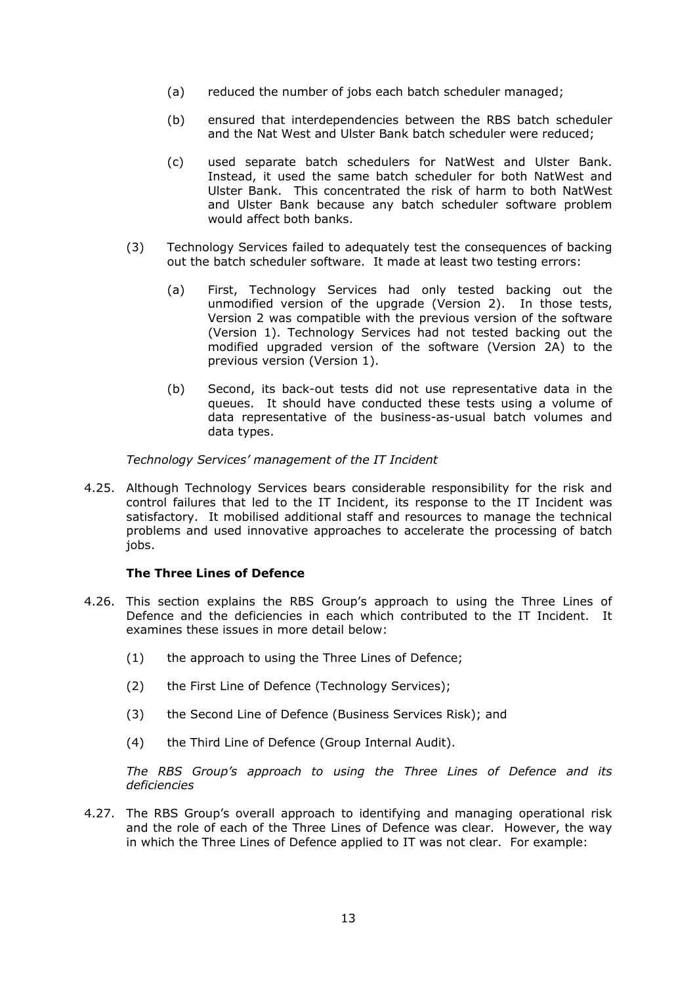- (a) reduced the number of jobs each batch scheduler managed;
- (b) ensured that interdependencies between the RBS batch scheduler and the Nat West and Ulster Bank batch scheduler were reduced;
- (c) used separate batch schedulers for NatWest and Ulster Bank. Instead, it used the same batch scheduler for both NatWest and Ulster Bank. This concentrated the risk of harm to both NatWest and Ulster Bank because any batch scheduler software problem would affect both banks.
- (3) Technology Services failed to adequately test the consequences of backing out the batch scheduler software. It made at least two testing errors:
	- (a) First, Technology Services had only tested backing out the unmodified version of the upgrade (Version 2). In those tests, Version 2 was compatible with the previous version of the software (Version 1). Technology Services had not tested backing out the modified upgraded version of the software (Version 2A) to the previous version (Version 1).
	- (b) Second, its back-out tests did not use representative data in the queues. It should have conducted these tests using a volume of data representative of the business-as-usual batch volumes and data types.

*Technology Services' management of the IT Incident* 

4.25. Although Technology Services bears considerable responsibility for the risk and control failures that led to the IT Incident, its response to the IT Incident was satisfactory. It mobilised additional staff and resources to manage the technical problems and used innovative approaches to accelerate the processing of batch jobs.

#### **The Three Lines of Defence**

- 4.26. This section explains the RBS Group's approach to using the Three Lines of Defence and the deficiencies in each which contributed to the IT Incident. It examines these issues in more detail below:
	- (1) the approach to using the Three Lines of Defence;
	- (2) the First Line of Defence (Technology Services);
	- (3) the Second Line of Defence (Business Services Risk); and
	- (4) the Third Line of Defence (Group Internal Audit).

*The RBS Group's approach to using the Three Lines of Defence and its deficiencies*

4.27. The RBS Group's overall approach to identifying and managing operational risk and the role of each of the Three Lines of Defence was clear. However, the way in which the Three Lines of Defence applied to IT was not clear. For example: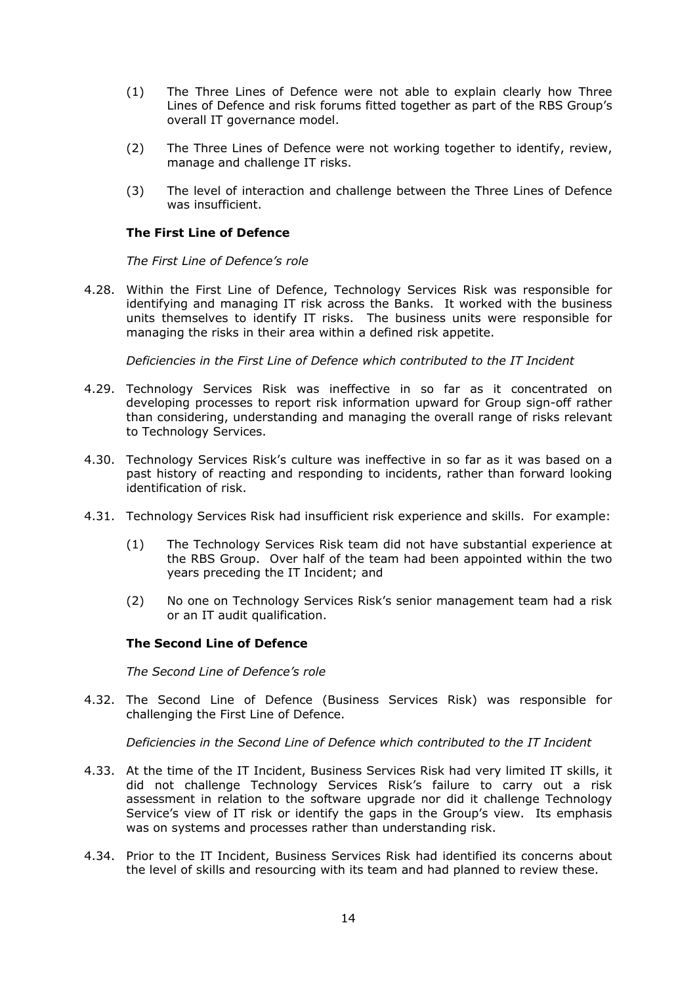- (1) The Three Lines of Defence were not able to explain clearly how Three Lines of Defence and risk forums fitted together as part of the RBS Group's overall IT governance model.
- (2) The Three Lines of Defence were not working together to identify, review, manage and challenge IT risks.
- (3) The level of interaction and challenge between the Three Lines of Defence was insufficient.

# **The First Line of Defence**

*The First Line of Defence's role*

4.28. Within the First Line of Defence, Technology Services Risk was responsible for identifying and managing IT risk across the Banks. It worked with the business units themselves to identify IT risks. The business units were responsible for managing the risks in their area within a defined risk appetite.

*Deficiencies in the First Line of Defence which contributed to the IT Incident*

- 4.29. Technology Services Risk was ineffective in so far as it concentrated on developing processes to report risk information upward for Group sign-off rather than considering, understanding and managing the overall range of risks relevant to Technology Services.
- 4.30. Technology Services Risk's culture was ineffective in so far as it was based on a past history of reacting and responding to incidents, rather than forward looking identification of risk.
- 4.31. Technology Services Risk had insufficient risk experience and skills. For example:
	- (1) The Technology Services Risk team did not have substantial experience at the RBS Group. Over half of the team had been appointed within the two years preceding the IT Incident; and
	- (2) No one on Technology Services Risk's senior management team had a risk or an IT audit qualification.

#### **The Second Line of Defence**

*The Second Line of Defence's role*

4.32. The Second Line of Defence (Business Services Risk) was responsible for challenging the First Line of Defence.

*Deficiencies in the Second Line of Defence which contributed to the IT Incident*

- 4.33. At the time of the IT Incident, Business Services Risk had very limited IT skills, it did not challenge Technology Services Risk's failure to carry out a risk assessment in relation to the software upgrade nor did it challenge Technology Service's view of IT risk or identify the gaps in the Group's view. Its emphasis was on systems and processes rather than understanding risk.
- 4.34. Prior to the IT Incident, Business Services Risk had identified its concerns about the level of skills and resourcing with its team and had planned to review these.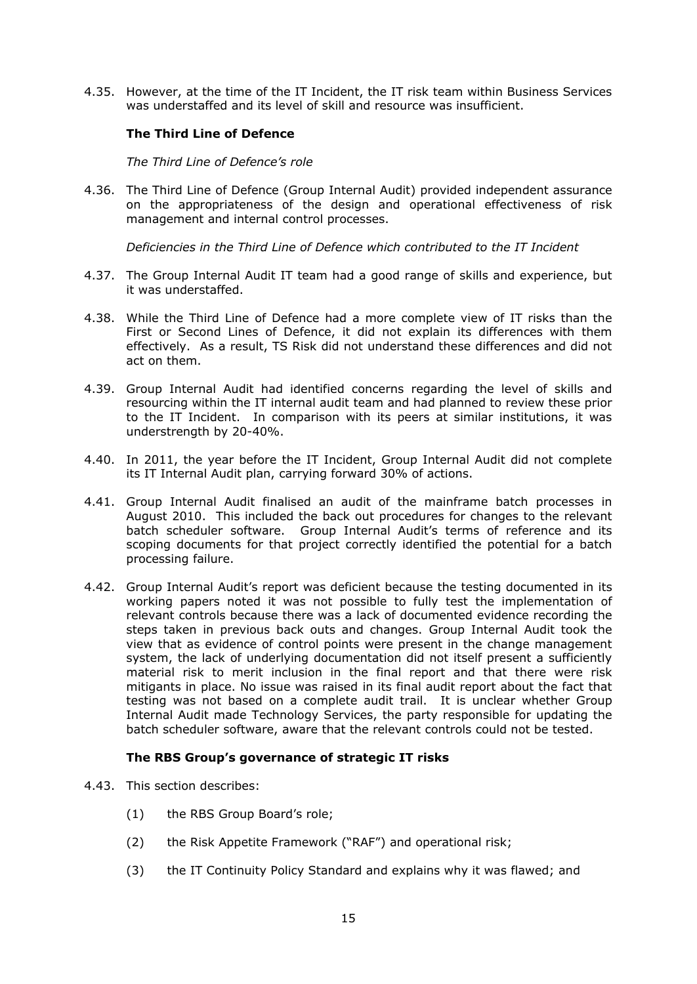4.35. However, at the time of the IT Incident, the IT risk team within Business Services was understaffed and its level of skill and resource was insufficient.

# **The Third Line of Defence**

*The Third Line of Defence's role*

4.36. The Third Line of Defence (Group Internal Audit) provided independent assurance on the appropriateness of the design and operational effectiveness of risk management and internal control processes.

*Deficiencies in the Third Line of Defence which contributed to the IT Incident*

- 4.37. The Group Internal Audit IT team had a good range of skills and experience, but it was understaffed.
- 4.38. While the Third Line of Defence had a more complete view of IT risks than the First or Second Lines of Defence, it did not explain its differences with them effectively. As a result, TS Risk did not understand these differences and did not act on them.
- 4.39. Group Internal Audit had identified concerns regarding the level of skills and resourcing within the IT internal audit team and had planned to review these prior to the IT Incident. In comparison with its peers at similar institutions, it was understrength by 20-40%.
- 4.40. In 2011, the year before the IT Incident, Group Internal Audit did not complete its IT Internal Audit plan, carrying forward 30% of actions.
- 4.41. Group Internal Audit finalised an audit of the mainframe batch processes in August 2010. This included the back out procedures for changes to the relevant batch scheduler software. Group Internal Audit's terms of reference and its scoping documents for that project correctly identified the potential for a batch processing failure.
- 4.42. Group Internal Audit's report was deficient because the testing documented in its working papers noted it was not possible to fully test the implementation of relevant controls because there was a lack of documented evidence recording the steps taken in previous back outs and changes. Group Internal Audit took the view that as evidence of control points were present in the change management system, the lack of underlying documentation did not itself present a sufficiently material risk to merit inclusion in the final report and that there were risk mitigants in place. No issue was raised in its final audit report about the fact that testing was not based on a complete audit trail. It is unclear whether Group Internal Audit made Technology Services, the party responsible for updating the batch scheduler software, aware that the relevant controls could not be tested.

#### **The RBS Group's governance of strategic IT risks**

- 4.43. This section describes:
	- (1) the RBS Group Board's role;
	- (2) the Risk Appetite Framework ("RAF") and operational risk;
	- (3) the IT Continuity Policy Standard and explains why it was flawed; and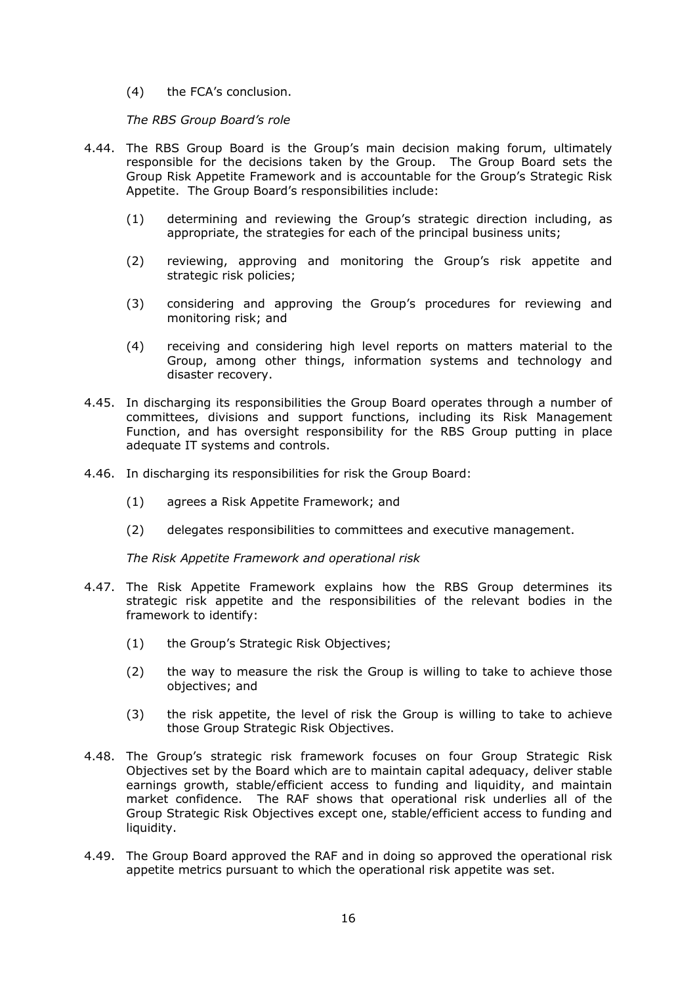(4) the FCA's conclusion.

*The RBS Group Board's role*

- 4.44. The RBS Group Board is the Group's main decision making forum, ultimately responsible for the decisions taken by the Group. The Group Board sets the Group Risk Appetite Framework and is accountable for the Group's Strategic Risk Appetite. The Group Board's responsibilities include:
	- (1) determining and reviewing the Group's strategic direction including, as appropriate, the strategies for each of the principal business units;
	- (2) reviewing, approving and monitoring the Group's risk appetite and strategic risk policies;
	- (3) considering and approving the Group's procedures for reviewing and monitoring risk; and
	- (4) receiving and considering high level reports on matters material to the Group, among other things, information systems and technology and disaster recovery.
- 4.45. In discharging its responsibilities the Group Board operates through a number of committees, divisions and support functions, including its Risk Management Function, and has oversight responsibility for the RBS Group putting in place adequate IT systems and controls.
- 4.46. In discharging its responsibilities for risk the Group Board:
	- (1) agrees a Risk Appetite Framework; and
	- (2) delegates responsibilities to committees and executive management.

*The Risk Appetite Framework and operational risk*

- 4.47. The Risk Appetite Framework explains how the RBS Group determines its strategic risk appetite and the responsibilities of the relevant bodies in the framework to identify:
	- (1) the Group's Strategic Risk Objectives;
	- (2) the way to measure the risk the Group is willing to take to achieve those objectives; and
	- (3) the risk appetite, the level of risk the Group is willing to take to achieve those Group Strategic Risk Objectives.
- 4.48. The Group's strategic risk framework focuses on four Group Strategic Risk Objectives set by the Board which are to maintain capital adequacy, deliver stable earnings growth, stable/efficient access to funding and liquidity, and maintain market confidence. The RAF shows that operational risk underlies all of the Group Strategic Risk Objectives except one, stable/efficient access to funding and liquidity.
- 4.49. The Group Board approved the RAF and in doing so approved the operational risk appetite metrics pursuant to which the operational risk appetite was set.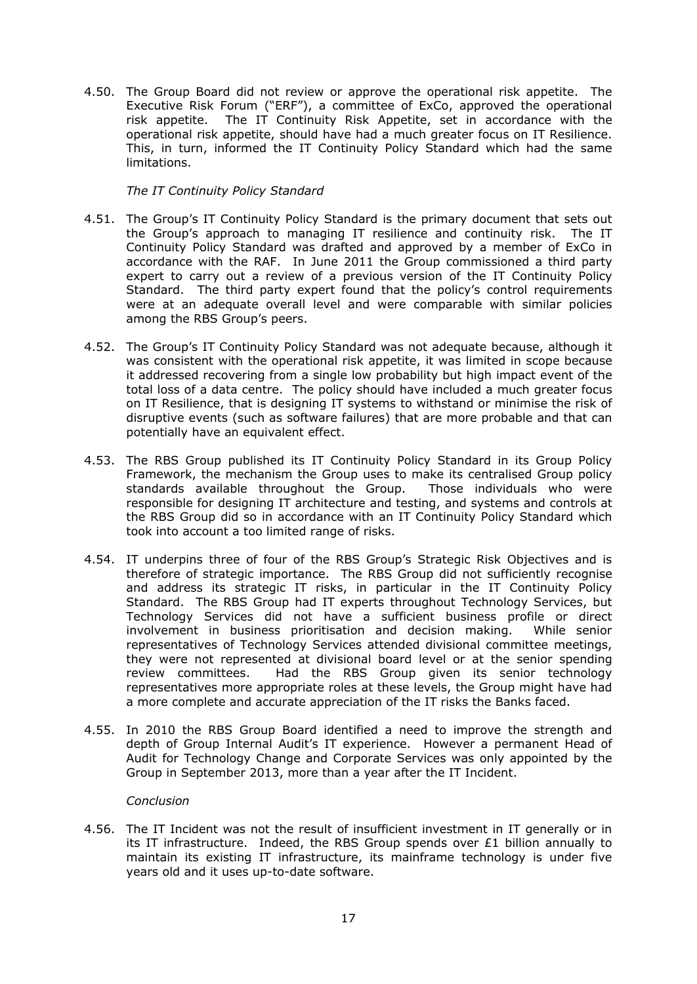4.50. The Group Board did not review or approve the operational risk appetite. The Executive Risk Forum ("ERF"), a committee of ExCo, approved the operational risk appetite. The IT Continuity Risk Appetite, set in accordance with the operational risk appetite, should have had a much greater focus on IT Resilience. This, in turn, informed the IT Continuity Policy Standard which had the same limitations.

# *The IT Continuity Policy Standard*

- 4.51. The Group's IT Continuity Policy Standard is the primary document that sets out the Group's approach to managing IT resilience and continuity risk. The IT Continuity Policy Standard was drafted and approved by a member of ExCo in accordance with the RAF. In June 2011 the Group commissioned a third party expert to carry out a review of a previous version of the IT Continuity Policy Standard. The third party expert found that the policy's control requirements were at an adequate overall level and were comparable with similar policies among the RBS Group's peers.
- 4.52. The Group's IT Continuity Policy Standard was not adequate because, although it was consistent with the operational risk appetite, it was limited in scope because it addressed recovering from a single low probability but high impact event of the total loss of a data centre. The policy should have included a much greater focus on IT Resilience, that is designing IT systems to withstand or minimise the risk of disruptive events (such as software failures) that are more probable and that can potentially have an equivalent effect.
- 4.53. The RBS Group published its IT Continuity Policy Standard in its Group Policy Framework, the mechanism the Group uses to make its centralised Group policy standards available throughout the Group. Those individuals who were responsible for designing IT architecture and testing, and systems and controls at the RBS Group did so in accordance with an IT Continuity Policy Standard which took into account a too limited range of risks.
- 4.54. IT underpins three of four of the RBS Group's Strategic Risk Objectives and is therefore of strategic importance. The RBS Group did not sufficiently recognise and address its strategic IT risks, in particular in the IT Continuity Policy Standard. The RBS Group had IT experts throughout Technology Services, but Technology Services did not have a sufficient business profile or direct involvement in business prioritisation and decision making. While senior representatives of Technology Services attended divisional committee meetings, they were not represented at divisional board level or at the senior spending review committees. Had the RBS Group given its senior technology representatives more appropriate roles at these levels, the Group might have had a more complete and accurate appreciation of the IT risks the Banks faced.
- 4.55. In 2010 the RBS Group Board identified a need to improve the strength and depth of Group Internal Audit's IT experience. However a permanent Head of Audit for Technology Change and Corporate Services was only appointed by the Group in September 2013, more than a year after the IT Incident.

#### *Conclusion*

4.56. The IT Incident was not the result of insufficient investment in IT generally or in its IT infrastructure. Indeed, the RBS Group spends over  $£1$  billion annually to maintain its existing IT infrastructure, its mainframe technology is under five years old and it uses up-to-date software.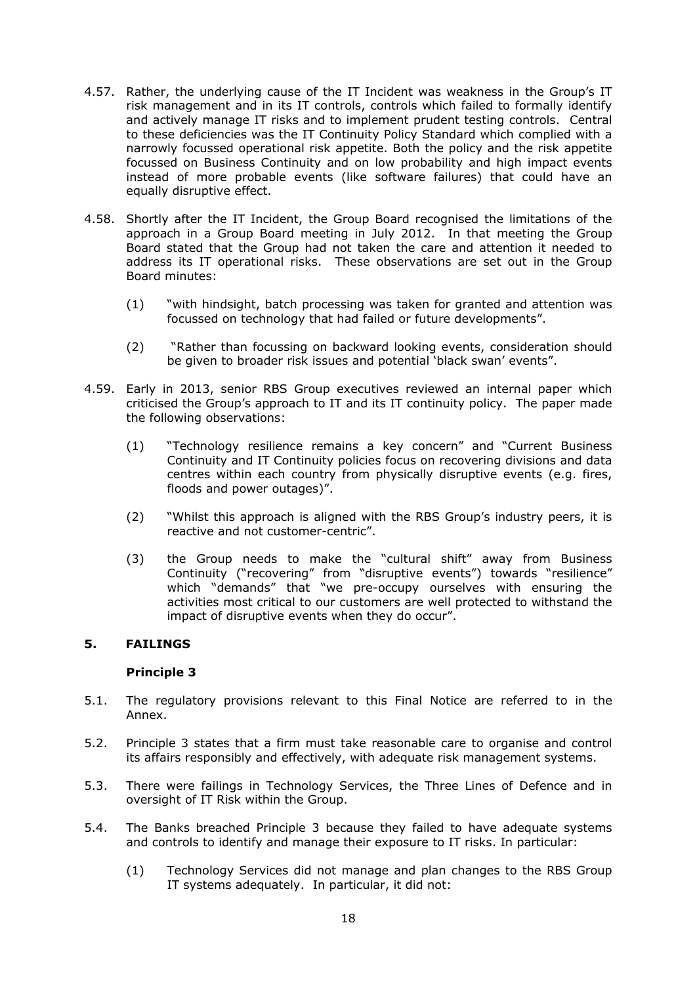- 4.57. Rather, the underlying cause of the IT Incident was weakness in the Group's IT risk management and in its IT controls, controls which failed to formally identify and actively manage IT risks and to implement prudent testing controls. Central to these deficiencies was the IT Continuity Policy Standard which complied with a narrowly focussed operational risk appetite. Both the policy and the risk appetite focussed on Business Continuity and on low probability and high impact events instead of more probable events (like software failures) that could have an equally disruptive effect.
- 4.58. Shortly after the IT Incident, the Group Board recognised the limitations of the approach in a Group Board meeting in July 2012. In that meeting the Group Board stated that the Group had not taken the care and attention it needed to address its IT operational risks. These observations are set out in the Group Board minutes:
	- (1) "with hindsight, batch processing was taken for granted and attention was focussed on technology that had failed or future developments".
	- (2) "Rather than focussing on backward looking events, consideration should be given to broader risk issues and potential 'black swan' events".
- 4.59. Early in 2013, senior RBS Group executives reviewed an internal paper which criticised the Group's approach to IT and its IT continuity policy. The paper made the following observations:
	- (1) "Technology resilience remains a key concern" and "Current Business Continuity and IT Continuity policies focus on recovering divisions and data centres within each country from physically disruptive events (e.g. fires, floods and power outages)".
	- (2) "Whilst this approach is aligned with the RBS Group's industry peers, it is reactive and not customer-centric".
	- (3) the Group needs to make the "cultural shift" away from Business Continuity ("recovering" from "disruptive events") towards "resilience" which "demands" that "we pre-occupy ourselves with ensuring the activities most critical to our customers are well protected to withstand the impact of disruptive events when they do occur".

# **5. FAILINGS**

# **Principle 3**

- 5.1. The regulatory provisions relevant to this Final Notice are referred to in the Annex.
- 5.2. Principle 3 states that a firm must take reasonable care to organise and control its affairs responsibly and effectively, with adequate risk management systems.
- 5.3. There were failings in Technology Services, the Three Lines of Defence and in oversight of IT Risk within the Group.
- 5.4. The Banks breached Principle 3 because they failed to have adequate systems and controls to identify and manage their exposure to IT risks. In particular:
	- (1) Technology Services did not manage and plan changes to the RBS Group IT systems adequately. In particular, it did not: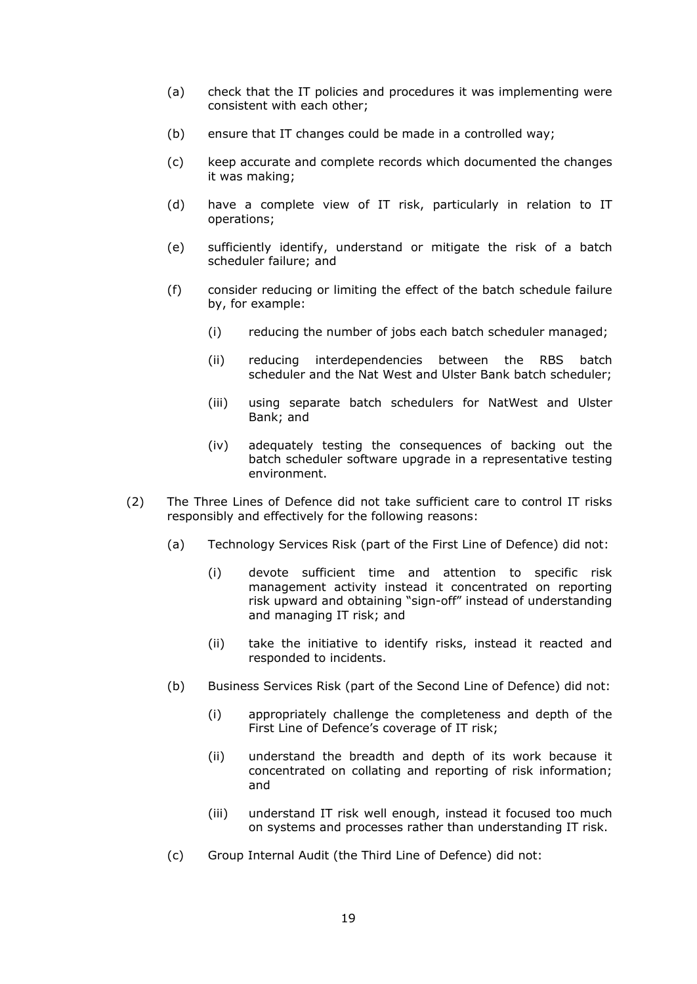- (a) check that the IT policies and procedures it was implementing were consistent with each other;
- (b) ensure that IT changes could be made in a controlled way;
- (c) keep accurate and complete records which documented the changes it was making;
- (d) have a complete view of IT risk, particularly in relation to IT operations;
- (e) sufficiently identify, understand or mitigate the risk of a batch scheduler failure; and
- (f) consider reducing or limiting the effect of the batch schedule failure by, for example:
	- (i) reducing the number of jobs each batch scheduler managed;
	- (ii) reducing interdependencies between the RBS batch scheduler and the Nat West and Ulster Bank batch scheduler;
	- (iii) using separate batch schedulers for NatWest and Ulster Bank; and
	- (iv) adequately testing the consequences of backing out the batch scheduler software upgrade in a representative testing environment.
- (2) The Three Lines of Defence did not take sufficient care to control IT risks responsibly and effectively for the following reasons:
	- (a) Technology Services Risk (part of the First Line of Defence) did not:
		- (i) devote sufficient time and attention to specific risk management activity instead it concentrated on reporting risk upward and obtaining "sign-off" instead of understanding and managing IT risk; and
		- (ii) take the initiative to identify risks, instead it reacted and responded to incidents.
	- (b) Business Services Risk (part of the Second Line of Defence) did not:
		- (i) appropriately challenge the completeness and depth of the First Line of Defence's coverage of IT risk;
		- (ii) understand the breadth and depth of its work because it concentrated on collating and reporting of risk information; and
		- (iii) understand IT risk well enough, instead it focused too much on systems and processes rather than understanding IT risk.
	- (c) Group Internal Audit (the Third Line of Defence) did not: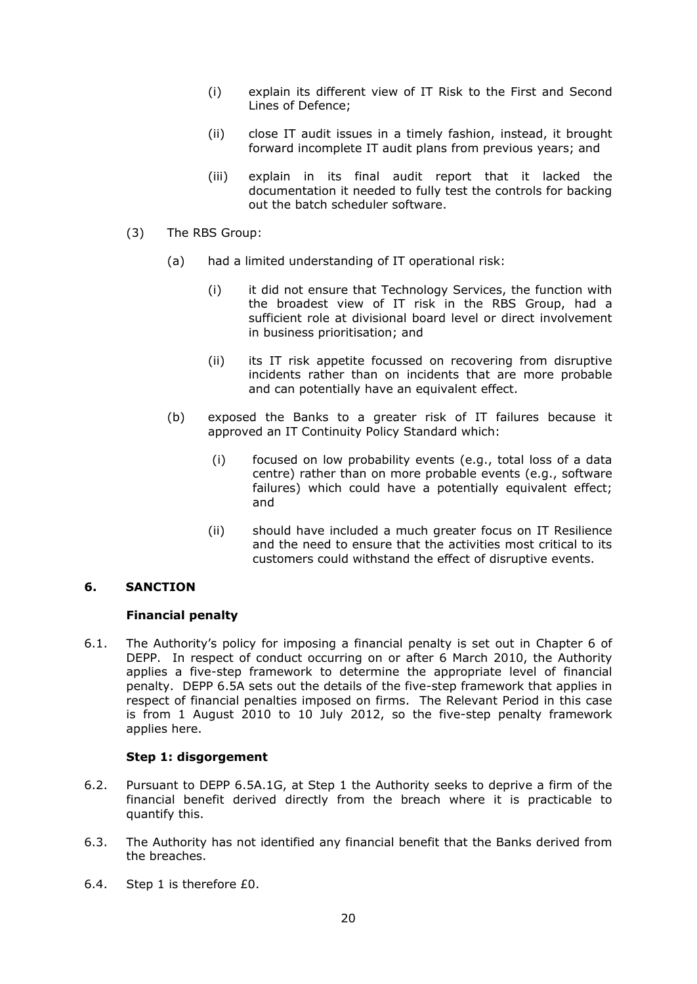- (i) explain its different view of IT Risk to the First and Second Lines of Defence;
- (ii) close IT audit issues in a timely fashion, instead, it brought forward incomplete IT audit plans from previous years; and
- (iii) explain in its final audit report that it lacked the documentation it needed to fully test the controls for backing out the batch scheduler software.
- (3) The RBS Group:
	- (a) had a limited understanding of IT operational risk:
		- (i) it did not ensure that Technology Services, the function with the broadest view of IT risk in the RBS Group, had a sufficient role at divisional board level or direct involvement in business prioritisation; and
		- (ii) its IT risk appetite focussed on recovering from disruptive incidents rather than on incidents that are more probable and can potentially have an equivalent effect.
	- (b) exposed the Banks to a greater risk of IT failures because it approved an IT Continuity Policy Standard which:
		- (i) focused on low probability events (e.g., total loss of a data centre) rather than on more probable events (e.g., software failures) which could have a potentially equivalent effect; and
		- (ii) should have included a much greater focus on IT Resilience and the need to ensure that the activities most critical to its customers could withstand the effect of disruptive events.

# **6. SANCTION**

#### **Financial penalty**

6.1. The Authority's policy for imposing a financial penalty is set out in Chapter 6 of DEPP. In respect of conduct occurring on or after 6 March 2010, the Authority applies a five-step framework to determine the appropriate level of financial penalty. DEPP 6.5A sets out the details of the five-step framework that applies in respect of financial penalties imposed on firms. The Relevant Period in this case is from 1 August 2010 to 10 July 2012, so the five-step penalty framework applies here.

#### **Step 1: disgorgement**

- 6.2. Pursuant to DEPP 6.5A.1G, at Step 1 the Authority seeks to deprive a firm of the financial benefit derived directly from the breach where it is practicable to quantify this.
- 6.3. The Authority has not identified any financial benefit that the Banks derived from the breaches.
- 6.4. Step 1 is therefore £0.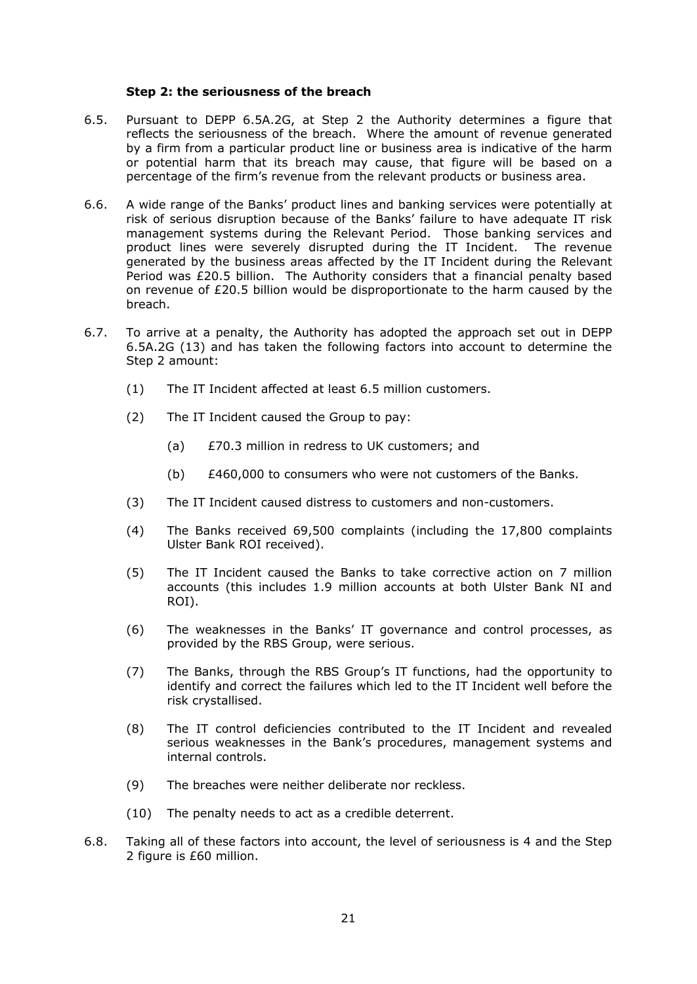#### **Step 2: the seriousness of the breach**

- 6.5. Pursuant to DEPP 6.5A.2G, at Step 2 the Authority determines a figure that reflects the seriousness of the breach. Where the amount of revenue generated by a firm from a particular product line or business area is indicative of the harm or potential harm that its breach may cause, that figure will be based on a percentage of the firm's revenue from the relevant products or business area.
- 6.6. A wide range of the Banks' product lines and banking services were potentially at risk of serious disruption because of the Banks' failure to have adequate IT risk management systems during the Relevant Period. Those banking services and product lines were severely disrupted during the IT Incident. The revenue generated by the business areas affected by the IT Incident during the Relevant Period was £20.5 billion. The Authority considers that a financial penalty based on revenue of £20.5 billion would be disproportionate to the harm caused by the breach.
- 6.7. To arrive at a penalty, the Authority has adopted the approach set out in DEPP 6.5A.2G (13) and has taken the following factors into account to determine the Step 2 amount:
	- (1) The IT Incident affected at least 6.5 million customers.
	- (2) The IT Incident caused the Group to pay:
		- (a) £70.3 million in redress to UK customers; and
		- (b) £460,000 to consumers who were not customers of the Banks.
	- (3) The IT Incident caused distress to customers and non-customers.
	- (4) The Banks received 69,500 complaints (including the 17,800 complaints Ulster Bank ROI received).
	- (5) The IT Incident caused the Banks to take corrective action on 7 million accounts (this includes 1.9 million accounts at both Ulster Bank NI and ROI).
	- (6) The weaknesses in the Banks' IT governance and control processes, as provided by the RBS Group, were serious.
	- (7) The Banks, through the RBS Group's IT functions, had the opportunity to identify and correct the failures which led to the IT Incident well before the risk crystallised.
	- (8) The IT control deficiencies contributed to the IT Incident and revealed serious weaknesses in the Bank's procedures, management systems and internal controls.
	- (9) The breaches were neither deliberate nor reckless.
	- (10) The penalty needs to act as a credible deterrent.
- 6.8. Taking all of these factors into account, the level of seriousness is 4 and the Step 2 figure is £60 million.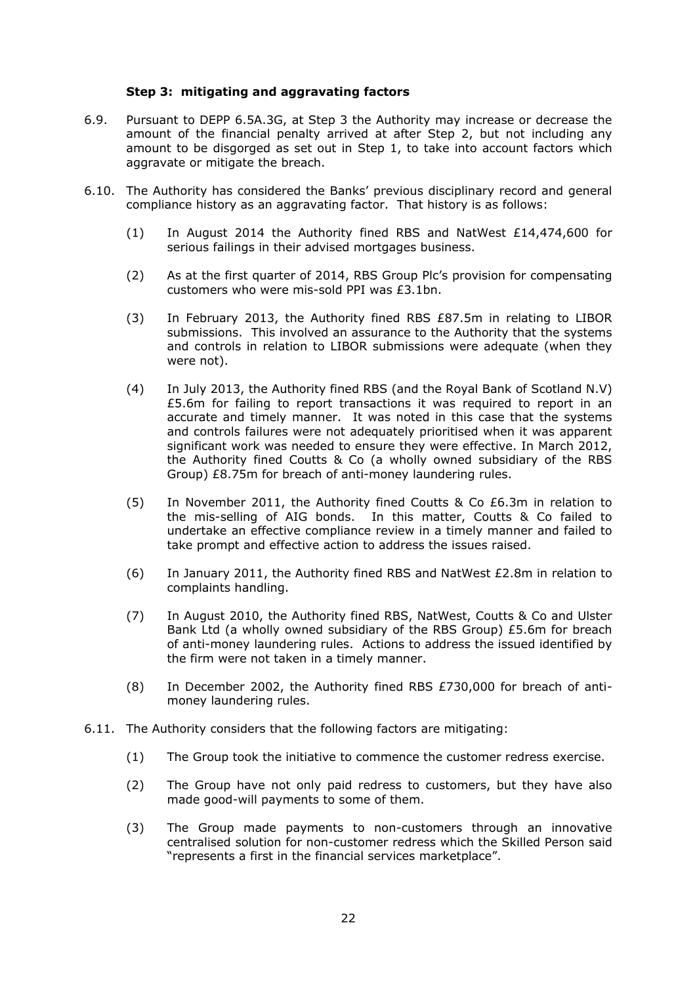#### **Step 3: mitigating and aggravating factors**

- 6.9. Pursuant to DEPP 6.5A.3G, at Step 3 the Authority may increase or decrease the amount of the financial penalty arrived at after Step 2, but not including any amount to be disgorged as set out in Step 1, to take into account factors which aggravate or mitigate the breach.
- 6.10. The Authority has considered the Banks' previous disciplinary record and general compliance history as an aggravating factor. That history is as follows:
	- (1) In August 2014 the Authority fined RBS and NatWest £14,474,600 for serious failings in their advised mortgages business.
	- (2) As at the first quarter of 2014, RBS Group Plc's provision for compensating customers who were mis-sold PPI was £3.1bn.
	- (3) In February 2013, the Authority fined RBS £87.5m in relating to LIBOR submissions. This involved an assurance to the Authority that the systems and controls in relation to LIBOR submissions were adequate (when they were not).
	- (4) In July 2013, the Authority fined RBS (and the Royal Bank of Scotland N.V) £5.6m for failing to report transactions it was required to report in an accurate and timely manner. It was noted in this case that the systems and controls failures were not adequately prioritised when it was apparent significant work was needed to ensure they were effective. In March 2012, the Authority fined Coutts & Co (a wholly owned subsidiary of the RBS Group) £8.75m for breach of anti-money laundering rules.
	- (5) In November 2011, the Authority fined Coutts & Co £6.3m in relation to the mis-selling of AIG bonds. In this matter, Coutts & Co failed to undertake an effective compliance review in a timely manner and failed to take prompt and effective action to address the issues raised.
	- (6) In January 2011, the Authority fined RBS and NatWest  $E2.8m$  in relation to complaints handling.
	- (7) In August 2010, the Authority fined RBS, NatWest, Coutts & Co and Ulster Bank Ltd (a wholly owned subsidiary of the RBS Group) £5.6m for breach of anti-money laundering rules. Actions to address the issued identified by the firm were not taken in a timely manner.
	- (8) In December 2002, the Authority fined RBS £730,000 for breach of antimoney laundering rules.
- 6.11. The Authority considers that the following factors are mitigating:
	- (1) The Group took the initiative to commence the customer redress exercise.
	- (2) The Group have not only paid redress to customers, but they have also made good-will payments to some of them.
	- (3) The Group made payments to non-customers through an innovative centralised solution for non-customer redress which the Skilled Person said "represents a first in the financial services marketplace".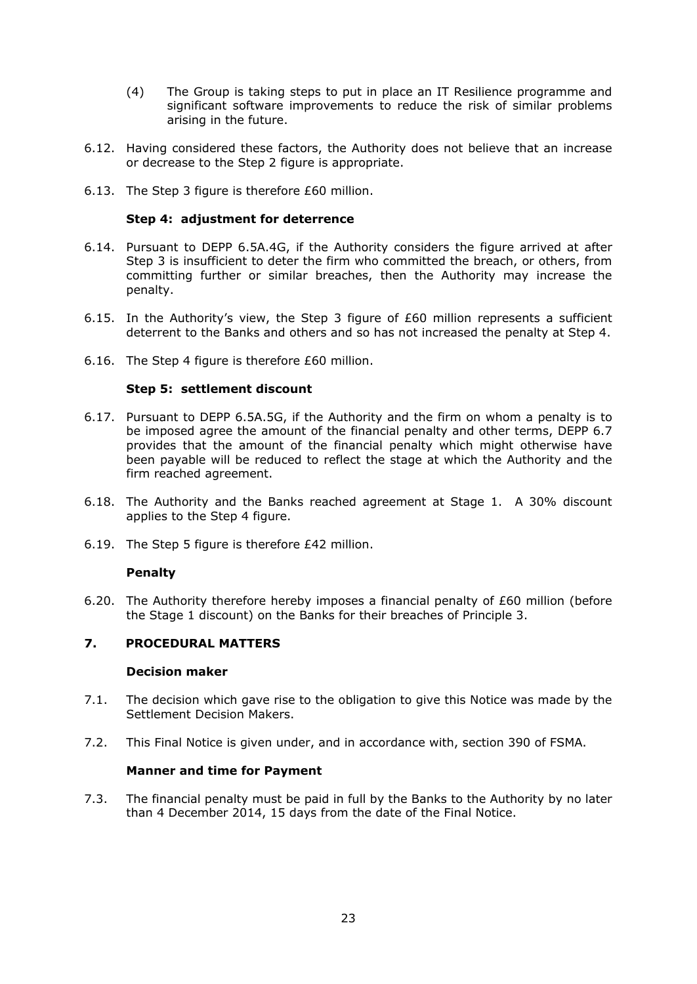- (4) The Group is taking steps to put in place an IT Resilience programme and significant software improvements to reduce the risk of similar problems arising in the future.
- 6.12. Having considered these factors, the Authority does not believe that an increase or decrease to the Step 2 figure is appropriate.
- 6.13. The Step 3 figure is therefore £60 million.

# **Step 4: adjustment for deterrence**

- 6.14. Pursuant to DEPP 6.5A.4G, if the Authority considers the figure arrived at after Step 3 is insufficient to deter the firm who committed the breach, or others, from committing further or similar breaches, then the Authority may increase the penalty.
- 6.15. In the Authority's view, the Step 3 figure of £60 million represents a sufficient deterrent to the Banks and others and so has not increased the penalty at Step 4.
- 6.16. The Step 4 figure is therefore £60 million.

#### **Step 5: settlement discount**

- 6.17. Pursuant to DEPP 6.5A.5G, if the Authority and the firm on whom a penalty is to be imposed agree the amount of the financial penalty and other terms, DEPP 6.7 provides that the amount of the financial penalty which might otherwise have been payable will be reduced to reflect the stage at which the Authority and the firm reached agreement.
- 6.18. The Authority and the Banks reached agreement at Stage 1. A 30% discount applies to the Step 4 figure.
- 6.19. The Step 5 figure is therefore £42 million.

#### **Penalty**

6.20. The Authority therefore hereby imposes a financial penalty of £60 million (before the Stage 1 discount) on the Banks for their breaches of Principle 3.

# **7. PROCEDURAL MATTERS**

#### **Decision maker**

- 7.1. The decision which gave rise to the obligation to give this Notice was made by the Settlement Decision Makers.
- 7.2. This Final Notice is given under, and in accordance with, section 390 of FSMA.

#### **Manner and time for Payment**

7.3. The financial penalty must be paid in full by the Banks to the Authority by no later than 4 December 2014, 15 days from the date of the Final Notice.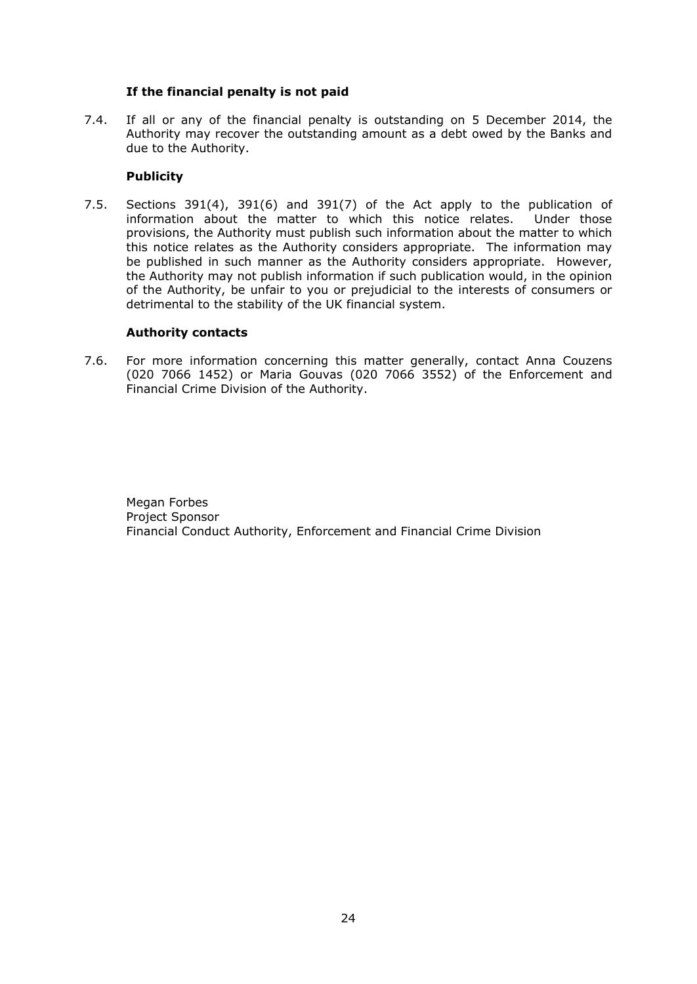# **If the financial penalty is not paid**

7.4. If all or any of the financial penalty is outstanding on 5 December 2014, the Authority may recover the outstanding amount as a debt owed by the Banks and due to the Authority.

# **Publicity**

7.5. Sections 391(4), 391(6) and 391(7) of the Act apply to the publication of information about the matter to which this notice relates. Under those provisions, the Authority must publish such information about the matter to which this notice relates as the Authority considers appropriate. The information may be published in such manner as the Authority considers appropriate. However, the Authority may not publish information if such publication would, in the opinion of the Authority, be unfair to you or prejudicial to the interests of consumers or detrimental to the stability of the UK financial system.

#### **Authority contacts**

7.6. For more information concerning this matter generally, contact Anna Couzens (020 7066 1452) or Maria Gouvas (020 7066 3552) of the Enforcement and Financial Crime Division of the Authority.

Megan Forbes Project Sponsor Financial Conduct Authority, Enforcement and Financial Crime Division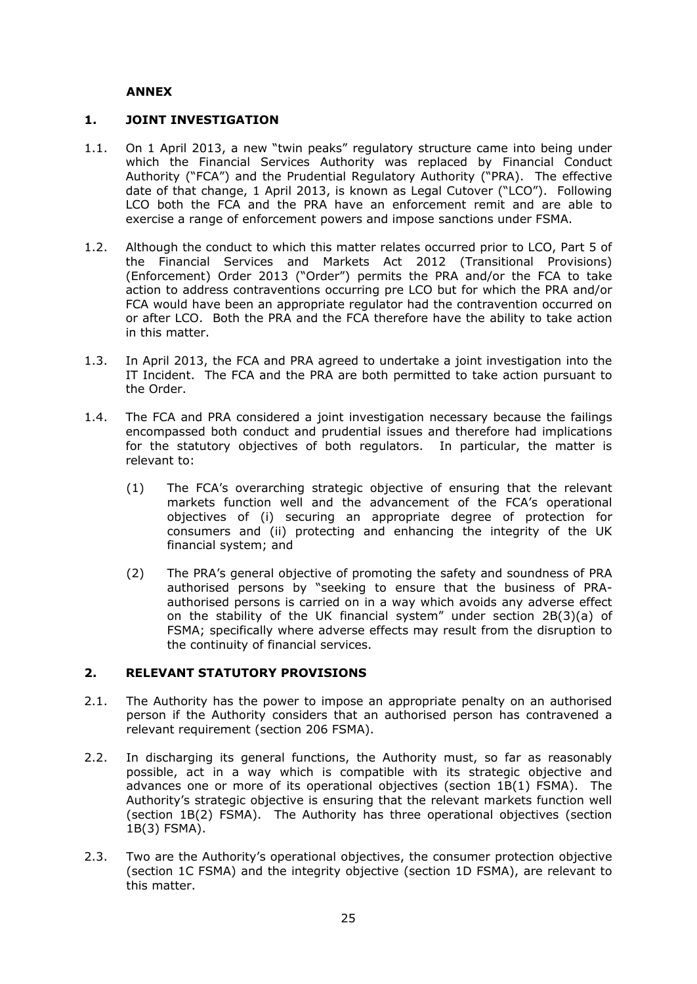# **ANNEX**

# **1. JOINT INVESTIGATION**

- 1.1. On 1 April 2013, a new "twin peaks" regulatory structure came into being under which the Financial Services Authority was replaced by Financial Conduct Authority ("FCA") and the Prudential Regulatory Authority ("PRA). The effective date of that change, 1 April 2013, is known as Legal Cutover ("LCO"). Following LCO both the FCA and the PRA have an enforcement remit and are able to exercise a range of enforcement powers and impose sanctions under FSMA.
- 1.2. Although the conduct to which this matter relates occurred prior to LCO, Part 5 of the Financial Services and Markets Act 2012 (Transitional Provisions) (Enforcement) Order 2013 ("Order") permits the PRA and/or the FCA to take action to address contraventions occurring pre LCO but for which the PRA and/or FCA would have been an appropriate regulator had the contravention occurred on or after LCO. Both the PRA and the FCA therefore have the ability to take action in this matter.
- 1.3. In April 2013, the FCA and PRA agreed to undertake a joint investigation into the IT Incident. The FCA and the PRA are both permitted to take action pursuant to the Order.
- 1.4. The FCA and PRA considered a joint investigation necessary because the failings encompassed both conduct and prudential issues and therefore had implications for the statutory objectives of both regulators. In particular, the matter is relevant to:
	- (1) The FCA's overarching strategic objective of ensuring that the relevant markets function well and the advancement of the FCA's operational objectives of (i) securing an appropriate degree of protection for consumers and (ii) protecting and enhancing the integrity of the UK financial system; and
	- (2) The PRA's general objective of promoting the safety and soundness of PRA authorised persons by "seeking to ensure that the business of PRAauthorised persons is carried on in a way which avoids any adverse effect on the stability of the UK financial system" under section 2B(3)(a) of FSMA; specifically where adverse effects may result from the disruption to the continuity of financial services.

# **2. RELEVANT STATUTORY PROVISIONS**

- 2.1. The Authority has the power to impose an appropriate penalty on an authorised person if the Authority considers that an authorised person has contravened a relevant requirement (section 206 FSMA).
- 2.2. In discharging its general functions, the Authority must, so far as reasonably possible, act in a way which is compatible with its strategic objective and advances one or more of its operational objectives (section 1B(1) FSMA). The Authority's strategic objective is ensuring that the relevant markets function well (section 1B(2) FSMA). The Authority has three operational objectives (section 1B(3) FSMA).
- 2.3. Two are the Authority's operational objectives, the consumer protection objective (section 1C FSMA) and the integrity objective (section 1D FSMA), are relevant to this matter.